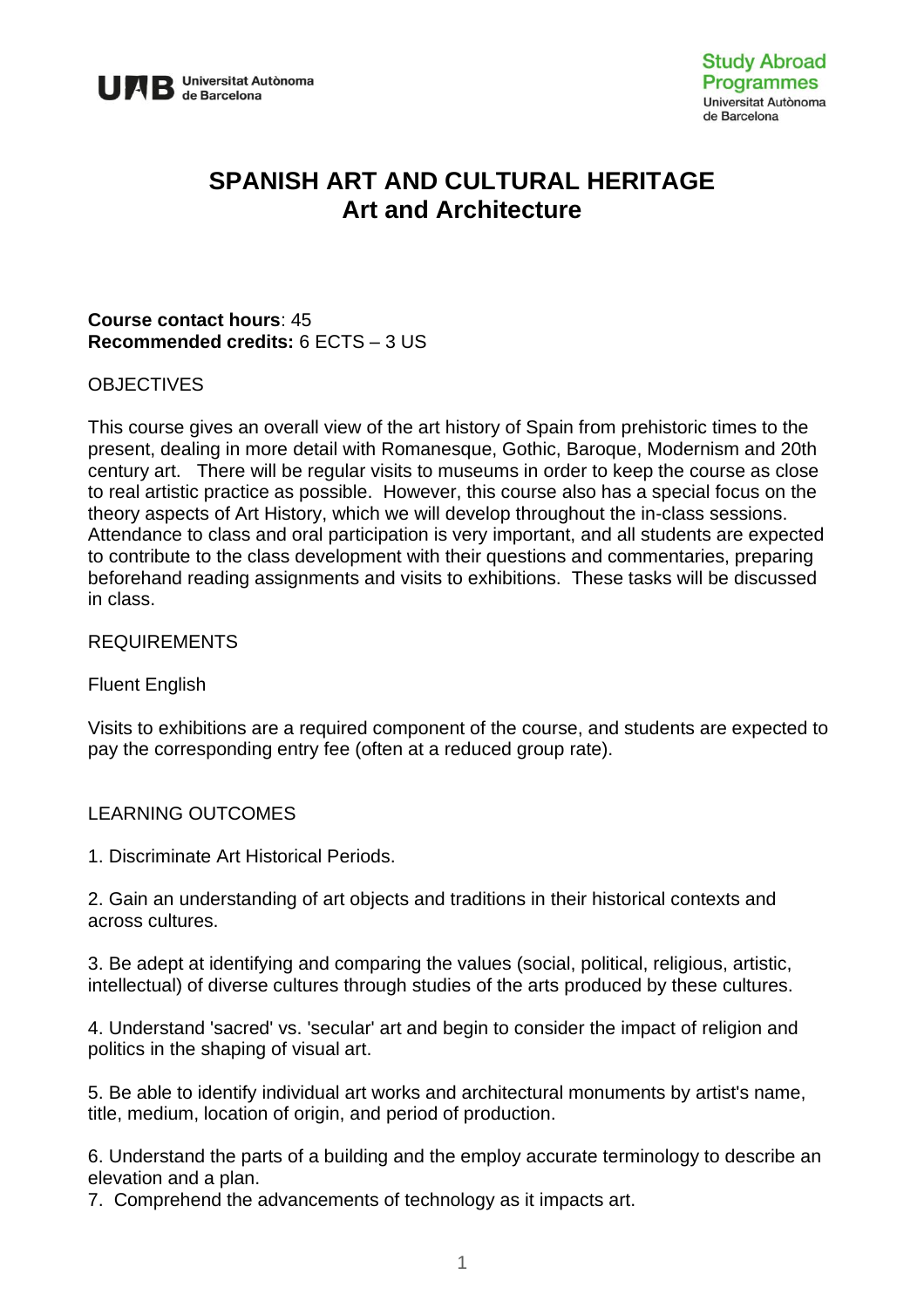

# **SPANISH ART AND CULTURAL HERITAGE Art and Architecture**

#### **Course contact hours**: 45 **Recommended credits:** 6 ECTS – 3 US

#### **OBJECTIVES**

This course gives an overall view of the art history of Spain from prehistoric times to the present, dealing in more detail with Romanesque, Gothic, Baroque, Modernism and 20th century art. There will be regular visits to museums in order to keep the course as close to real artistic practice as possible. However, this course also has a special focus on the theory aspects of Art History, which we will develop throughout the in-class sessions. Attendance to class and oral participation is very important, and all students are expected to contribute to the class development with their questions and commentaries, preparing beforehand reading assignments and visits to exhibitions. These tasks will be discussed in class.

#### REQUIREMENTS

Fluent English

Visits to exhibitions are a required component of the course, and students are expected to pay the corresponding entry fee (often at a reduced group rate).

#### LEARNING OUTCOMES

1. Discriminate Art Historical Periods.

2. Gain an understanding of art objects and traditions in their historical contexts and across cultures.

3. Be adept at identifying and comparing the values (social, political, religious, artistic, intellectual) of diverse cultures through studies of the arts produced by these cultures.

4. Understand 'sacred' vs. 'secular' art and begin to consider the impact of religion and politics in the shaping of visual art.

5. Be able to identify individual art works and architectural monuments by artist's name, title, medium, location of origin, and period of production.

6. Understand the parts of a building and the employ accurate terminology to describe an elevation and a plan.

7. Comprehend the advancements of technology as it impacts art.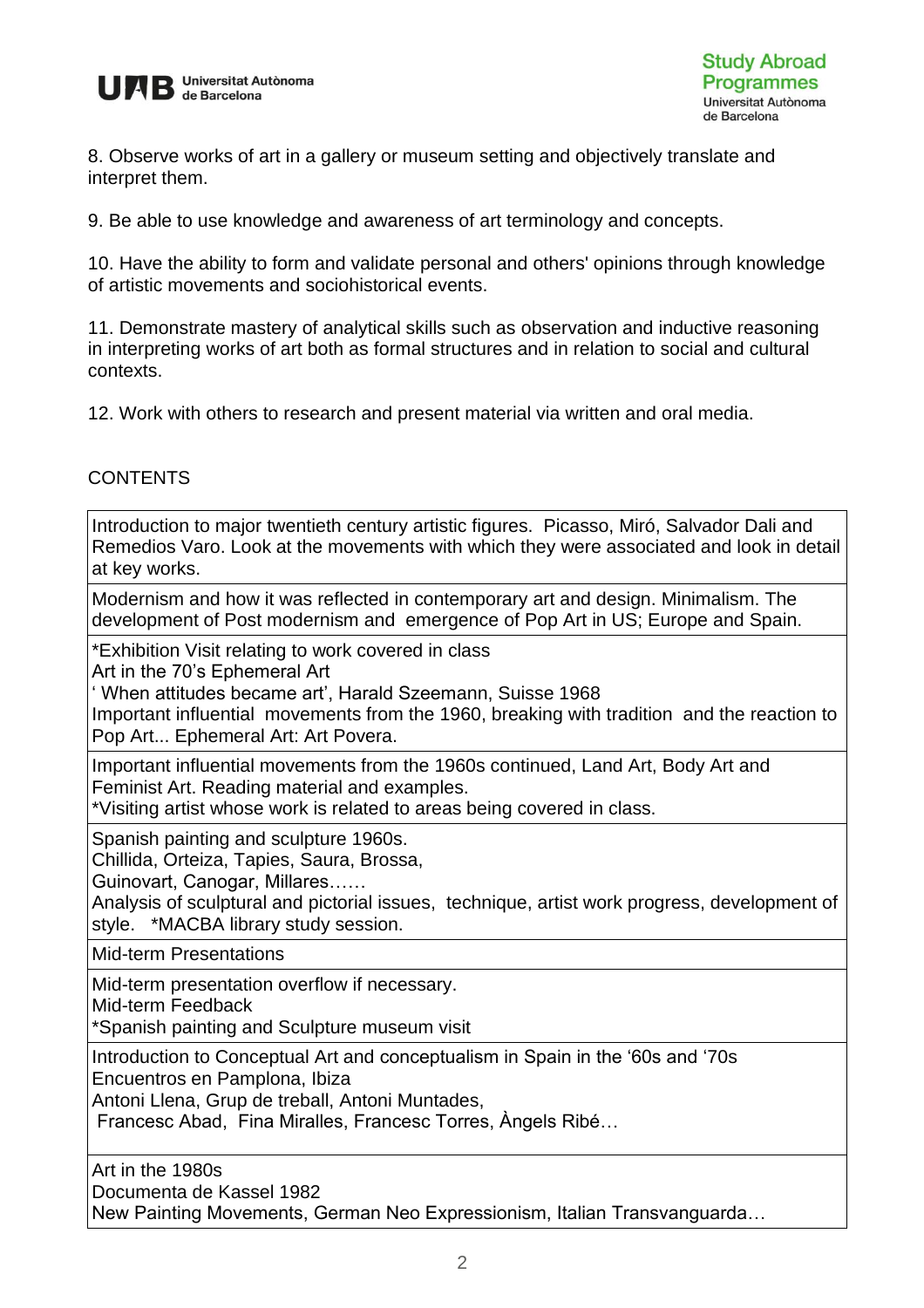

8. Observe works of art in a gallery or museum setting and objectively translate and interpret them.

9. Be able to use knowledge and awareness of art terminology and concepts.

10. Have the ability to form and validate personal and others' opinions through knowledge of artistic movements and sociohistorical events.

11. Demonstrate mastery of analytical skills such as observation and inductive reasoning in interpreting works of art both as formal structures and in relation to social and cultural contexts.

12. Work with others to research and present material via written and oral media.

#### **CONTENTS**

Introduction to major twentieth century artistic figures. Picasso, Miró, Salvador Dali and Remedios Varo. Look at the movements with which they were associated and look in detail at key works.

Modernism and how it was reflected in contemporary art and design. Minimalism. The development of Post modernism and emergence of Pop Art in US; Europe and Spain.

\*Exhibition Visit relating to work covered in class

Art in the 70's Ephemeral Art

' When attitudes became art', Harald Szeemann, Suisse 1968

Important influential movements from the 1960, breaking with tradition and the reaction to Pop Art... Ephemeral Art: Art Povera.

Important influential movements from the 1960s continued, Land Art, Body Art and Feminist Art. Reading material and examples.

\*Visiting artist whose work is related to areas being covered in class.

Spanish painting and sculpture 1960s.

Chillida, Orteiza, Tapies, Saura, Brossa,

Guinovart, Canogar, Millares……

Analysis of sculptural and pictorial issues, technique, artist work progress, development of style. \*MACBA library study session.

Mid-term Presentations

Mid-term presentation overflow if necessary.

Mid-term Feedback

\*Spanish painting and Sculpture museum visit

Introduction to Conceptual Art and conceptualism in Spain in the '60s and '70s

Encuentros en Pamplona, Ibiza

Antoni Llena, Grup de treball, Antoni Muntades,

Francesc Abad, Fina Miralles, Francesc Torres, Àngels Ribé…

Art in the 1980s

Documenta de Kassel 1982

New Painting Movements, German Neo Expressionism, Italian Transvanguarda…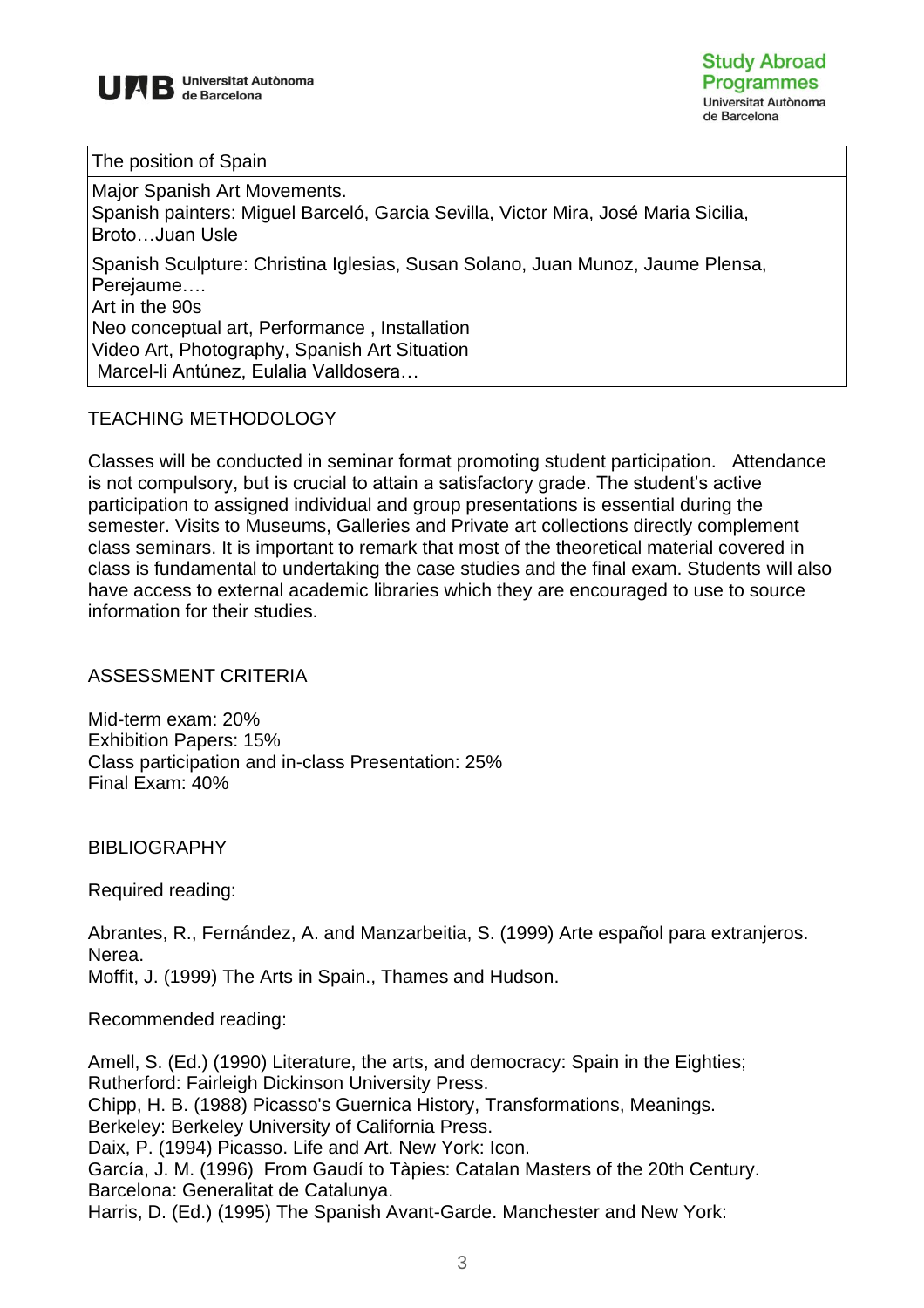

The position of Spain

Major Spanish Art Movements. Spanish painters: Miguel Barceló, Garcia Sevilla, Victor Mira, José Maria Sicilia, Broto…Juan Usle

Spanish Sculpture: Christina Iglesias, Susan Solano, Juan Munoz, Jaume Plensa, Perejaume…. Art in the 90s

Neo conceptual art, Performance , Installation Video Art, Photography, Spanish Art Situation Marcel-li Antúnez, Eulalia Valldosera…

## TEACHING METHODOLOGY

Classes will be conducted in seminar format promoting student participation. Attendance is not compulsory, but is crucial to attain a satisfactory grade. The student's active participation to assigned individual and group presentations is essential during the semester. Visits to Museums, Galleries and Private art collections directly complement class seminars. It is important to remark that most of the theoretical material covered in class is fundamental to undertaking the case studies and the final exam. Students will also have access to external academic libraries which they are encouraged to use to source information for their studies.

### ASSESSMENT CRITERIA

Mid-term exam: 20% Exhibition Papers: 15% Class participation and in-class Presentation: 25% Final Exam: 40%

BIBLIOGRAPHY

Required reading:

Abrantes, R., Fernández, A. and Manzarbeitia, S. (1999) Arte español para extranjeros. Nerea. Moffit, J. (1999) The Arts in Spain., Thames and Hudson.

Recommended reading:

Amell, S. (Ed.) (1990) Literature, the arts, and democracy: Spain in the Eighties; Rutherford: Fairleigh Dickinson University Press. Chipp, H. B. (1988) Picasso's Guernica History, Transformations, Meanings. Berkeley: Berkeley University of California Press. Daix, P. (1994) Picasso. Life and Art. New York: Icon. García, J. M. (1996) From Gaudí to Tàpies: Catalan Masters of the 20th Century. Barcelona: Generalitat de Catalunya. Harris, D. (Ed.) (1995) The Spanish Avant-Garde. Manchester and New York: